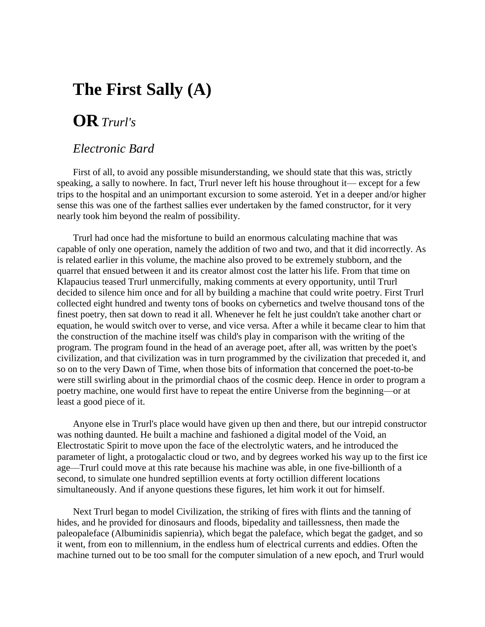## **The First Sally (A)**

## **OR***Trurl's*

## *Electronic Bard*

First of all, to avoid any possible misunderstanding, we should state that this was, strictly speaking, a sally to nowhere. In fact, Trurl never left his house throughout it— except for a few trips to the hospital and an unimportant excursion to some asteroid. Yet in a deeper and/or higher sense this was one of the farthest sallies ever undertaken by the famed constructor, for it very nearly took him beyond the realm of possibility.

Trurl had once had the misfortune to build an enormous calculating machine that was capable of only one operation, namely the addition of two and two, and that it did incorrectly. As is related earlier in this volume, the machine also proved to be extremely stubborn, and the quarrel that ensued between it and its creator almost cost the latter his life. From that time on Klapaucius teased Trurl unmercifully, making comments at every opportunity, until Trurl decided to silence him once and for all by building a machine that could write poetry. First Trurl collected eight hundred and twenty tons of books on cybernetics and twelve thousand tons of the finest poetry, then sat down to read it all. Whenever he felt he just couldn't take another chart or equation, he would switch over to verse, and vice versa. After a while it became clear to him that the construction of the machine itself was child's play in comparison with the writing of the program. The program found in the head of an average poet, after all, was written by the poet's civilization, and that civilization was in turn programmed by the civilization that preceded it, and so on to the very Dawn of Time, when those bits of information that concerned the poet-to-be were still swirling about in the primordial chaos of the cosmic deep. Hence in order to program a poetry machine, one would first have to repeat the entire Universe from the beginning—or at least a good piece of it.

Anyone else in Trurl's place would have given up then and there, but our intrepid constructor was nothing daunted. He built a machine and fashioned a digital model of the Void, an Electrostatic Spirit to move upon the face of the electrolytic waters, and he introduced the parameter of light, a protogalactic cloud or two, and by degrees worked his way up to the first ice age—Trurl could move at this rate because his machine was able, in one five-billionth of a second, to simulate one hundred septillion events at forty octillion different locations simultaneously. And if anyone questions these figures, let him work it out for himself.

Next Trurl began to model Civilization, the striking of fires with flints and the tanning of hides, and he provided for dinosaurs and floods, bipedality and taillessness, then made the paleopaleface (Albuminidis sapienria), which begat the paleface, which begat the gadget, and so it went, from eon to millennium, in the endless hum of electrical currents and eddies. Often the machine turned out to be too small for the computer simulation of a new epoch, and Trurl would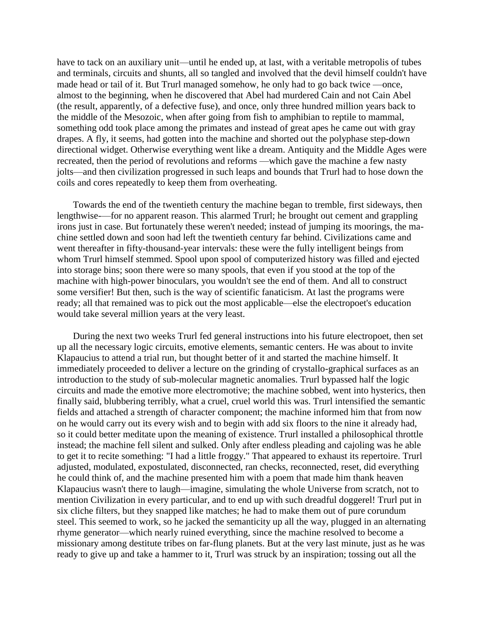have to tack on an auxiliary unit—until he ended up, at last, with a veritable metropolis of tubes and terminals, circuits and shunts, all so tangled and involved that the devil himself couldn't have made head or tail of it. But Trurl managed somehow, he only had to go back twice —once, almost to the beginning, when he discovered that Abel had murdered Cain and not Cain Abel (the result, apparently, of a defective fuse), and once, only three hundred million years back to the middle of the Mesozoic, when after going from fish to amphibian to reptile to mammal, something odd took place among the primates and instead of great apes he came out with gray drapes. A fly, it seems, had gotten into the machine and shorted out the polyphase step-down directional widget. Otherwise everything went like a dream. Antiquity and the Middle Ages were recreated, then the period of revolutions and reforms —which gave the machine a few nasty jolts—and then civilization progressed in such leaps and bounds that Trurl had to hose down the coils and cores repeatedly to keep them from overheating.

Towards the end of the twentieth century the machine began to tremble, first sideways, then lengthwise-—for no apparent reason. This alarmed Trurl; he brought out cement and grappling irons just in case. But fortunately these weren't needed; instead of jumping its moorings, the machine settled down and soon had left the twentieth century far behind. Civilizations came and went thereafter in fifty-thousand-year intervals: these were the fully intelligent beings from whom Trurl himself stemmed. Spool upon spool of computerized history was filled and ejected into storage bins; soon there were so many spools, that even if you stood at the top of the machine with high-power binoculars, you wouldn't see the end of them. And all to construct some versifier! But then, such is the way of scientific fanaticism. At last the programs were ready; all that remained was to pick out the most applicable—else the electropoet's education would take several million years at the very least.

During the next two weeks Trurl fed general instructions into his future electropoet, then set up all the necessary logic circuits, emotive elements, semantic centers. He was about to invite Klapaucius to attend a trial run, but thought better of it and started the machine himself. It immediately proceeded to deliver a lecture on the grinding of crystallo-graphical surfaces as an introduction to the study of sub-molecular magnetic anomalies. Trurl bypassed half the logic circuits and made the emotive more electromotive; the machine sobbed, went into hysterics, then finally said, blubbering terribly, what a cruel, cruel world this was. Trurl intensified the semantic fields and attached a strength of character component; the machine informed him that from now on he would carry out its every wish and to begin with add six floors to the nine it already had, so it could better meditate upon the meaning of existence. Trurl installed a philosophical throttle instead; the machine fell silent and sulked. Only after endless pleading and cajoling was he able to get it to recite something: "I had a little froggy." That appeared to exhaust its repertoire. Trurl adjusted, modulated, expostulated, disconnected, ran checks, reconnected, reset, did everything he could think of, and the machine presented him with a poem that made him thank heaven Klapaucius wasn't there to laugh—imagine, simulating the whole Universe from scratch, not to mention Civilization in every particular, and to end up with such dreadful doggerel! Trurl put in six cliche filters, but they snapped like matches; he had to make them out of pure corundum steel. This seemed to work, so he jacked the semanticity up all the way, plugged in an alternating rhyme generator—which nearly ruined everything, since the machine resolved to become a missionary among destitute tribes on far-flung planets. But at the very last minute, just as he was ready to give up and take a hammer to it, Trurl was struck by an inspiration; tossing out all the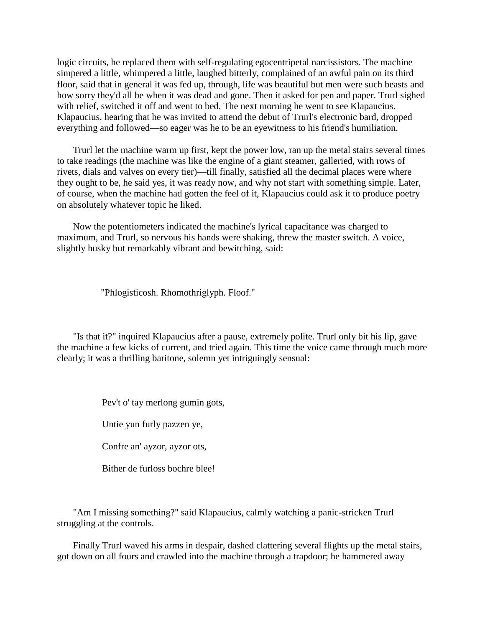logic circuits, he replaced them with self-regulating egocentripetal narcissistors. The machine simpered a little, whimpered a little, laughed bitterly, complained of an awful pain on its third floor, said that in general it was fed up, through, life was beautiful but men were such beasts and how sorry they'd all be when it was dead and gone. Then it asked for pen and paper. Trurl sighed with relief, switched it off and went to bed. The next morning he went to see Klapaucius. Klapaucius, hearing that he was invited to attend the debut of Trurl's electronic bard, dropped everything and followed—so eager was he to be an eyewitness to his friend's humiliation.

Trurl let the machine warm up first, kept the power low, ran up the metal stairs several times to take readings (the machine was like the engine of a giant steamer, galleried, with rows of rivets, dials and valves on every tier)—till finally, satisfied all the decimal places were where they ought to be, he said yes, it was ready now, and why not start with something simple. Later, of course, when the machine had gotten the feel of it, Klapaucius could ask it to produce poetry on absolutely whatever topic he liked.

Now the potentiometers indicated the machine's lyrical capacitance was charged to maximum, and Trurl, so nervous his hands were shaking, threw the master switch. A voice, slightly husky but remarkably vibrant and bewitching, said:

"Phlogisticosh. Rhomothriglyph. Floof."

"Is that it?" inquired Klapaucius after a pause, extremely polite. Trurl only bit his lip, gave the machine a few kicks of current, and tried again. This time the voice came through much more clearly; it was a thrilling baritone, solemn yet intriguingly sensual:

Pev't o' tay merlong gumin gots,

Untie yun furly pazzen ye,

Confre an' ayzor, ayzor ots,

Bither de furloss bochre blee!

"Am I missing something?" said Klapaucius, calmly watching a panic-stricken Trurl struggling at the controls.

Finally Trurl waved his arms in despair, dashed clattering several flights up the metal stairs, got down on all fours and crawled into the machine through a trapdoor; he hammered away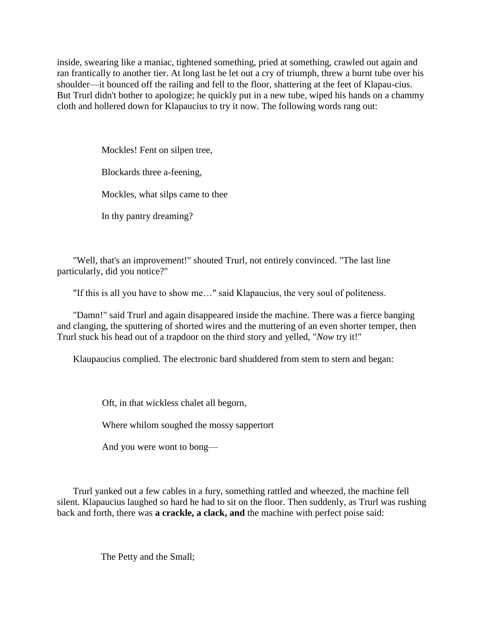inside, swearing like a maniac, tightened something, pried at something, crawled out again and ran frantically to another tier. At long last he let out a cry of triumph, threw a burnt tube over his shoulder—it bounced off the railing and fell to the floor, shattering at the feet of Klapau-cius. But Trurl didn't bother to apologize; he quickly put in a new tube, wiped his hands on a chammy cloth and hollered down for Klapaucius to try it now. The following words rang out:

> Mockles! Fent on silpen tree, Blockards three a-feening, Mockles, what silps came to thee In thy pantry dreaming?

"Well, that's an improvement!" shouted Trurl, not entirely convinced. "The last line particularly, did you notice?"

"If this is all you have to show me…" said Klapaucius, the very soul of politeness.

"Damn!" said Trurl and again disappeared inside the machine. There was a fierce banging and clanging, the sputtering of shorted wires and the muttering of an even shorter temper, then Trurl stuck his head out of a trapdoor on the third story and yelled, "*Now* try it!"

Klaupaucius complied. The electronic bard shuddered from stem to stern and began:

Oft, in that wickless chalet all begorn,

Where whilom soughed the mossy sappertort

And you were wont to bong—

Trurl yanked out a few cables in a fury, something rattled and wheezed, the machine fell silent. Klapaucius laughed so hard he had to sit on the floor. Then suddenly, as Trurl was rushing back and forth, there was **a crackle, a clack, and** the machine with perfect poise said:

The Petty and the Small;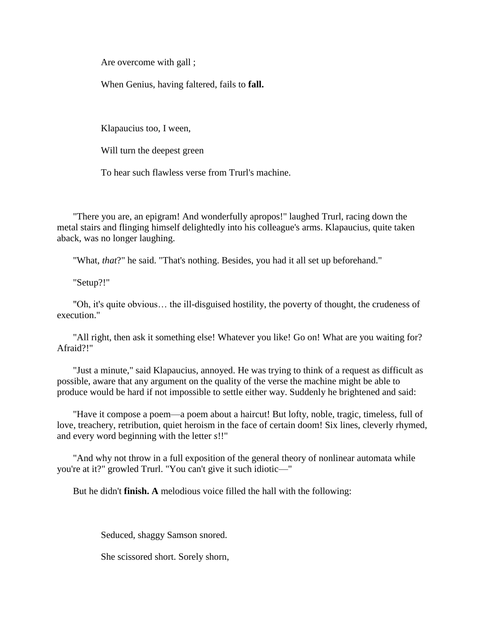Are overcome with gall ;

When Genius, having faltered, fails to **fall.**

Klapaucius too, I ween,

Will turn the deepest green

To hear such flawless verse from Trurl's machine.

"There you are, an epigram! And wonderfully apropos!" laughed Trurl, racing down the metal stairs and flinging himself delightedly into his colleague's arms. Klapaucius, quite taken aback, was no longer laughing.

"What, *that*?" he said. "That's nothing. Besides, you had it all set up beforehand."

"Setup?!"

"Oh, it's quite obvious… the ill-disguised hostility, the poverty of thought, the crudeness of execution."

"All right, then ask it something else! Whatever you like! Go on! What are you waiting for? Afraid?!"

"Just a minute," said Klapaucius, annoyed. He was trying to think of a request as difficult as possible, aware that any argument on the quality of the verse the machine might be able to produce would be hard if not impossible to settle either way. Suddenly he brightened and said:

"Have it compose a poem—a poem about a haircut! But lofty, noble, tragic, timeless, full of love, treachery, retribution, quiet heroism in the face of certain doom! Six lines, cleverly rhymed, and every word beginning with the letter *s*!!"

"And why not throw in a full exposition of the general theory of nonlinear automata while you're at it?" growled Trurl. "You can't give it such idiotic—"

But he didn't **finish. A** melodious voice filled the hall with the following:

Seduced, shaggy Samson snored.

She scissored short. Sorely shorn,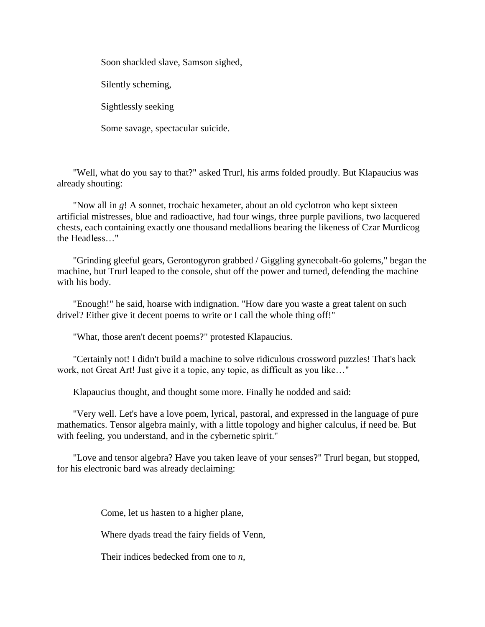Soon shackled slave, Samson sighed,

Silently scheming,

Sightlessly seeking

Some savage, spectacular suicide.

"Well, what do you say to that?" asked Trurl, his arms folded proudly. But Klapaucius was already shouting:

"Now all in *g*! A sonnet, trochaic hexameter, about an old cyclotron who kept sixteen artificial mistresses, blue and radioactive, had four wings, three purple pavilions, two lacquered chests, each containing exactly one thousand medallions bearing the likeness of Czar Murdicog the Headless…"

"Grinding gleeful gears, Gerontogyron grabbed / Giggling gynecobalt-6o golems," began the machine, but Trurl leaped to the console, shut off the power and turned, defending the machine with his body.

"Enough!" he said, hoarse with indignation. "How dare you waste a great talent on such drivel? Either give it decent poems to write or I call the whole thing off!"

"What, those aren't decent poems?" protested Klapaucius.

"Certainly not! I didn't build a machine to solve ridiculous crossword puzzles! That's hack work, not Great Art! Just give it a topic, any topic, as difficult as you like…"

Klapaucius thought, and thought some more. Finally he nodded and said:

"Very well. Let's have a love poem, lyrical, pastoral, and expressed in the language of pure mathematics. Tensor algebra mainly, with a little topology and higher calculus, if need be. But with feeling, you understand, and in the cybernetic spirit."

"Love and tensor algebra? Have you taken leave of your senses?" Trurl began, but stopped, for his electronic bard was already declaiming:

Come, let us hasten to a higher plane,

Where dyads tread the fairy fields of Venn,

Their indices bedecked from one to *n*,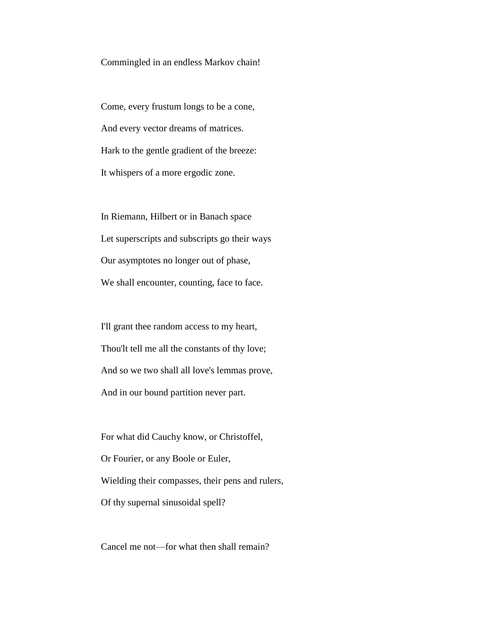## Commingled in an endless Markov chain!

Come, every frustum longs to be a cone, And every vector dreams of matrices. Hark to the gentle gradient of the breeze: It whispers of a more ergodic zone.

In Riemann, Hilbert or in Banach space Let superscripts and subscripts go their ways Our asymptotes no longer out of phase, We shall encounter, counting, face to face.

I'll grant thee random access to my heart, Thou'lt tell me all the constants of thy love; And so we two shall all love's lemmas prove, And in our bound partition never part.

For what did Cauchy know, or Christoffel, Or Fourier, or any Boole or Euler, Wielding their compasses, their pens and rulers, Of thy supernal sinusoidal spell?

Cancel me not—for what then shall remain?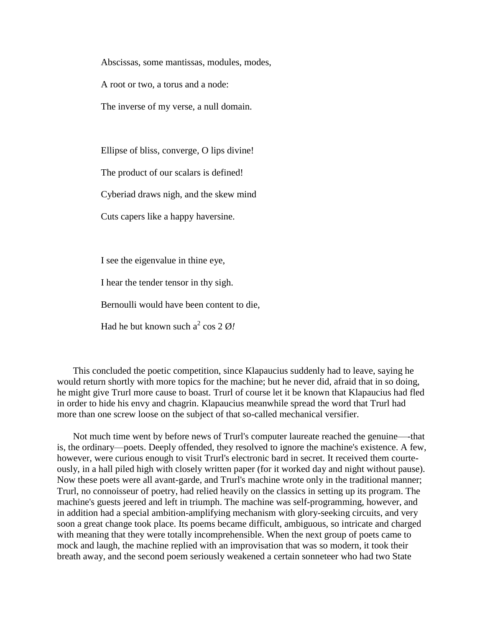Abscissas, some mantissas, modules, modes,

A root or two, a torus and a node:

The inverse of my verse, a null domain.

Ellipse of bliss, converge, O lips divine!

The product of our scalars is defined!

Cyberiad draws nigh, and the skew mind

Cuts capers like a happy haversine.

I see the eigenvalue in thine eye,

I hear the tender tensor in thy sigh.

Bernoulli would have been content to die,

Had he but known such  $a^2 \cos 2\emptyset$ !

This concluded the poetic competition, since Klapaucius suddenly had to leave, saying he would return shortly with more topics for the machine; but he never did, afraid that in so doing, he might give Trurl more cause to boast. Trurl of course let it be known that Klapaucius had fled in order to hide his envy and chagrin. Klapaucius meanwhile spread the word that Trurl had more than one screw loose on the subject of that so-called mechanical versifier.

Not much time went by before news of Trurl's computer laureate reached the genuine—-that is, the ordinary—poets. Deeply offended, they resolved to ignore the machine's existence. A few, however, were curious enough to visit Trurl's electronic bard in secret. It received them courteously, in a hall piled high with closely written paper (for it worked day and night without pause). Now these poets were all avant-garde, and Trurl's machine wrote only in the traditional manner; Trurl, no connoisseur of poetry, had relied heavily on the classics in setting up its program. The machine's guests jeered and left in triumph. The machine was self-programming, however, and in addition had a special ambition-amplifying mechanism with glory-seeking circuits, and very soon a great change took place. Its poems became difficult, ambiguous, so intricate and charged with meaning that they were totally incomprehensible. When the next group of poets came to mock and laugh, the machine replied with an improvisation that was so modern, it took their breath away, and the second poem seriously weakened a certain sonneteer who had two State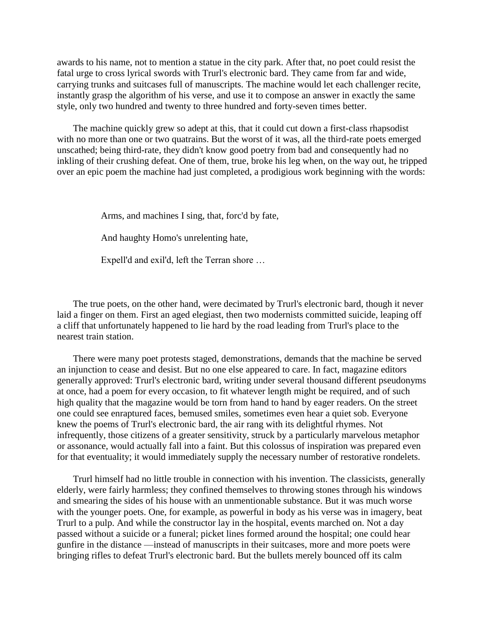awards to his name, not to mention a statue in the city park. After that, no poet could resist the fatal urge to cross lyrical swords with Trurl's electronic bard. They came from far and wide, carrying trunks and suitcases full of manuscripts. The machine would let each challenger recite, instantly grasp the algorithm of his verse, and use it to compose an answer in exactly the same style, only two hundred and twenty to three hundred and forty-seven times better.

The machine quickly grew so adept at this, that it could cut down a first-class rhapsodist with no more than one or two quatrains. But the worst of it was, all the third-rate poets emerged unscathed; being third-rate, they didn't know good poetry from bad and consequently had no inkling of their crushing defeat. One of them, true, broke his leg when, on the way out, he tripped over an epic poem the machine had just completed, a prodigious work beginning with the words:

Arms, and machines I sing, that, forc'd by fate,

And haughty Homo's unrelenting hate,

Expell'd and exil'd, left the Terran shore …

The true poets, on the other hand, were decimated by Trurl's electronic bard, though it never laid a finger on them. First an aged elegiast, then two modernists committed suicide, leaping off a cliff that unfortunately happened to lie hard by the road leading from Trurl's place to the nearest train station.

There were many poet protests staged, demonstrations, demands that the machine be served an injunction to cease and desist. But no one else appeared to care. In fact, magazine editors generally approved: Trurl's electronic bard, writing under several thousand different pseudonyms at once, had a poem for every occasion, to fit whatever length might be required, and of such high quality that the magazine would be torn from hand to hand by eager readers. On the street one could see enraptured faces, bemused smiles, sometimes even hear a quiet sob. Everyone knew the poems of Trurl's electronic bard, the air rang with its delightful rhymes. Not infrequently, those citizens of a greater sensitivity, struck by a particularly marvelous metaphor or assonance, would actually fall into a faint. But this colossus of inspiration was prepared even for that eventuality; it would immediately supply the necessary number of restorative rondelets.

Trurl himself had no little trouble in connection with his invention. The classicists, generally elderly, were fairly harmless; they confined themselves to throwing stones through his windows and smearing the sides of his house with an unmentionable substance. But it was much worse with the younger poets. One, for example, as powerful in body as his verse was in imagery, beat Trurl to a pulp. And while the constructor lay in the hospital, events marched on. Not a day passed without a suicide or a funeral; picket lines formed around the hospital; one could hear gunfire in the distance —instead of manuscripts in their suitcases, more and more poets were bringing rifles to defeat Trurl's electronic bard. But the bullets merely bounced off its calm